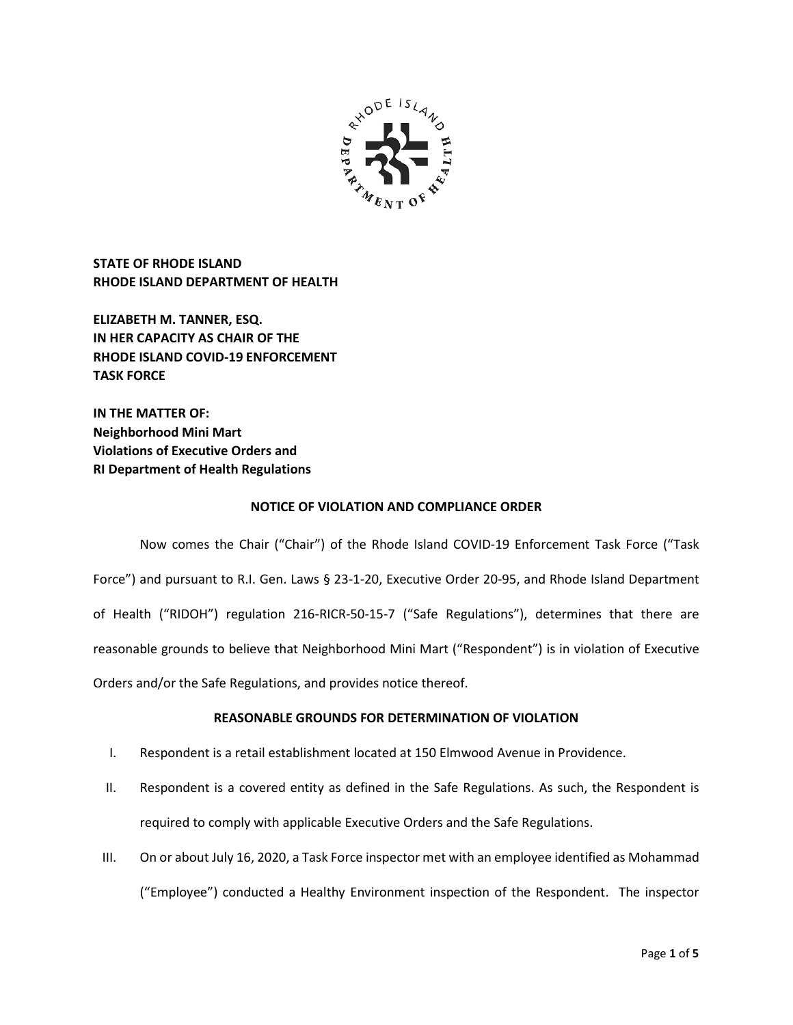

**STATE OF RHODE ISLAND RHODE ISLAND DEPARTMENT OF HEALTH**

**ELIZABETH M. TANNER, ESQ. IN HER CAPACITY AS CHAIR OF THE RHODE ISLAND COVID-19 ENFORCEMENT TASK FORCE** 

**IN THE MATTER OF: Neighborhood Mini Mart Violations of Executive Orders and RI Department of Health Regulations**

## **NOTICE OF VIOLATION AND COMPLIANCE ORDER**

Now comes the Chair ("Chair") of the Rhode Island COVID-19 Enforcement Task Force ("Task Force") and pursuant to R.I. Gen. Laws § 23-1-20, Executive Order 20-95, and Rhode Island Department of Health ("RIDOH") regulation 216-RICR-50-15-7 ("Safe Regulations"), determines that there are reasonable grounds to believe that Neighborhood Mini Mart ("Respondent") is in violation of Executive Orders and/or the Safe Regulations, and provides notice thereof.

# **REASONABLE GROUNDS FOR DETERMINATION OF VIOLATION**

- I. Respondent is a retail establishment located at 150 Elmwood Avenue in Providence.
- II. Respondent is a covered entity as defined in the Safe Regulations. As such, the Respondent is required to comply with applicable Executive Orders and the Safe Regulations.
- III. On or about July 16, 2020, a Task Force inspector met with an employee identified as Mohammad ("Employee") conducted a Healthy Environment inspection of the Respondent. The inspector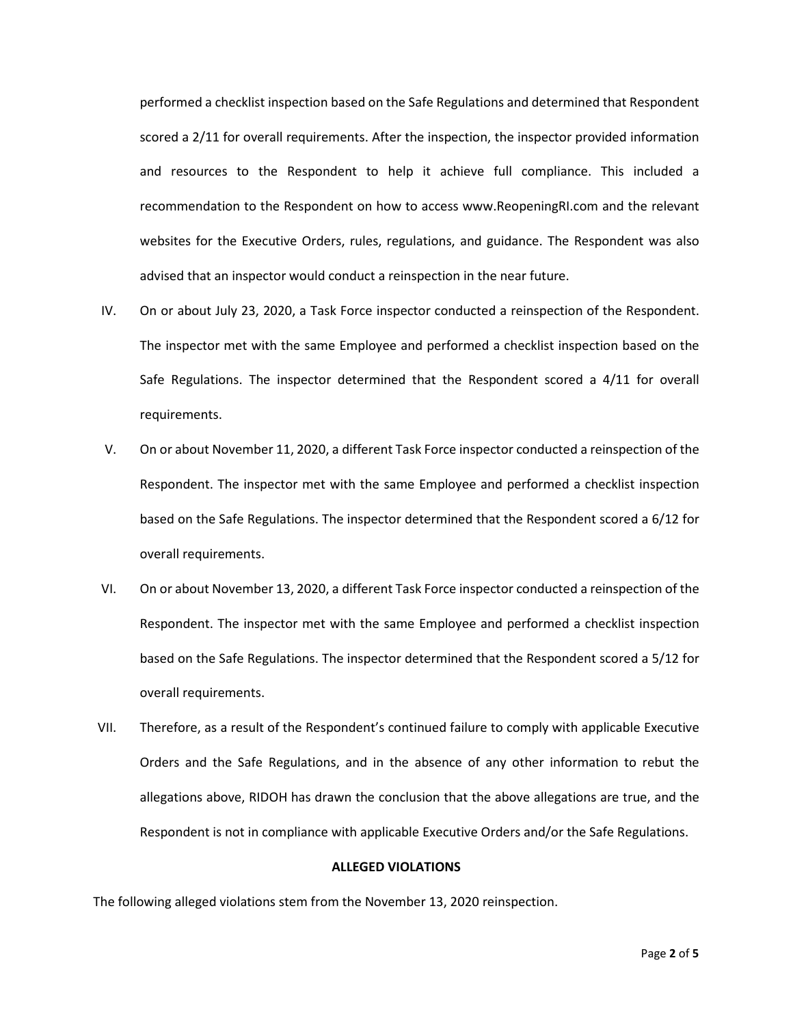performed a checklist inspection based on the Safe Regulations and determined that Respondent scored a 2/11 for overall requirements. After the inspection, the inspector provided information and resources to the Respondent to help it achieve full compliance. This included a recommendation to the Respondent on how to access www.ReopeningRI.com and the relevant websites for the Executive Orders, rules, regulations, and guidance. The Respondent was also advised that an inspector would conduct a reinspection in the near future.

- IV. On or about July 23, 2020, a Task Force inspector conducted a reinspection of the Respondent. The inspector met with the same Employee and performed a checklist inspection based on the Safe Regulations. The inspector determined that the Respondent scored a 4/11 for overall requirements.
- V. On or about November 11, 2020, a different Task Force inspector conducted a reinspection of the Respondent. The inspector met with the same Employee and performed a checklist inspection based on the Safe Regulations. The inspector determined that the Respondent scored a 6/12 for overall requirements.
- VI. On or about November 13, 2020, a different Task Force inspector conducted a reinspection of the Respondent. The inspector met with the same Employee and performed a checklist inspection based on the Safe Regulations. The inspector determined that the Respondent scored a 5/12 for overall requirements.
- VII. Therefore, as a result of the Respondent's continued failure to comply with applicable Executive Orders and the Safe Regulations, and in the absence of any other information to rebut the allegations above, RIDOH has drawn the conclusion that the above allegations are true, and the Respondent is not in compliance with applicable Executive Orders and/or the Safe Regulations.

### **ALLEGED VIOLATIONS**

The following alleged violations stem from the November 13, 2020 reinspection.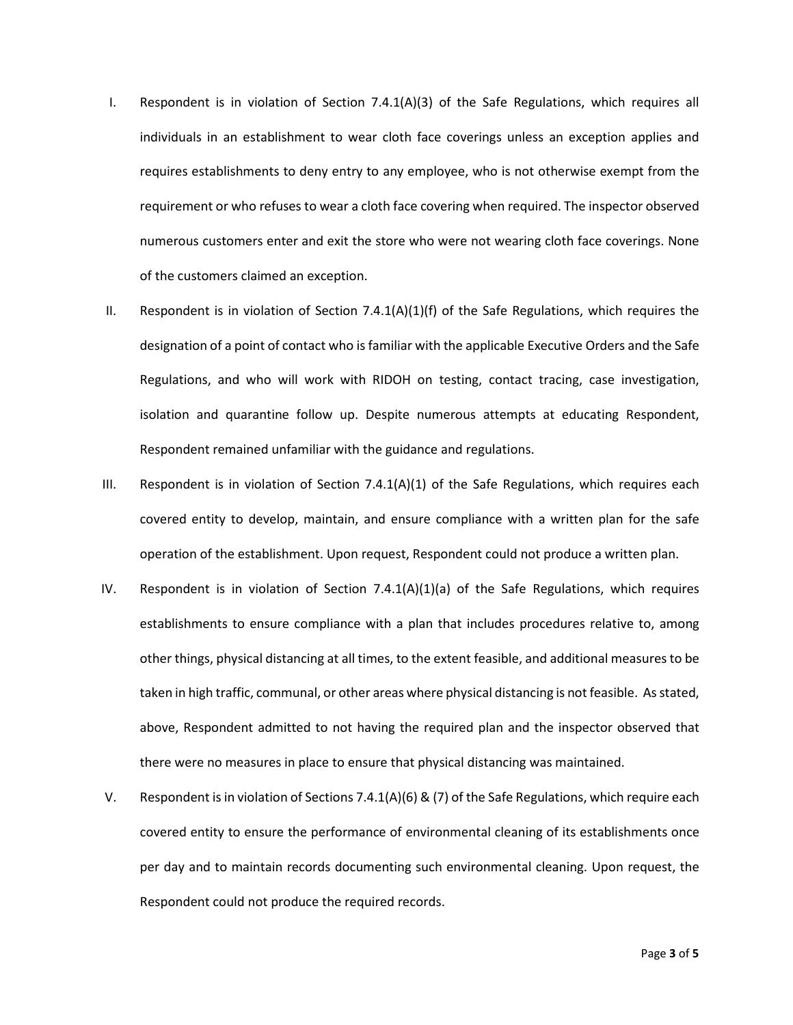- I. Respondent is in violation of Section 7.4.1(A)(3) of the Safe Regulations, which requires all individuals in an establishment to wear cloth face coverings unless an exception applies and requires establishments to deny entry to any employee, who is not otherwise exempt from the requirement or who refuses to wear a cloth face covering when required. The inspector observed numerous customers enter and exit the store who were not wearing cloth face coverings. None of the customers claimed an exception.
- II. Respondent is in violation of Section 7.4.1(A)(1)(f) of the Safe Regulations, which requires the designation of a point of contact who is familiar with the applicable Executive Orders and the Safe Regulations, and who will work with RIDOH on testing, contact tracing, case investigation, isolation and quarantine follow up. Despite numerous attempts at educating Respondent, Respondent remained unfamiliar with the guidance and regulations.
- III. Respondent is in violation of Section 7.4.1(A)(1) of the Safe Regulations, which requires each covered entity to develop, maintain, and ensure compliance with a written plan for the safe operation of the establishment. Upon request, Respondent could not produce a written plan.
- IV. Respondent is in violation of Section  $7.4.1(A)(1)(a)$  of the Safe Regulations, which requires establishments to ensure compliance with a plan that includes procedures relative to, among other things, physical distancing at all times, to the extent feasible, and additional measures to be taken in high traffic, communal, or other areas where physical distancing is not feasible. As stated, above, Respondent admitted to not having the required plan and the inspector observed that there were no measures in place to ensure that physical distancing was maintained.
- V. Respondent is in violation of Sections 7.4.1(A)(6) & (7) of the Safe Regulations, which require each covered entity to ensure the performance of environmental cleaning of its establishments once per day and to maintain records documenting such environmental cleaning. Upon request, the Respondent could not produce the required records.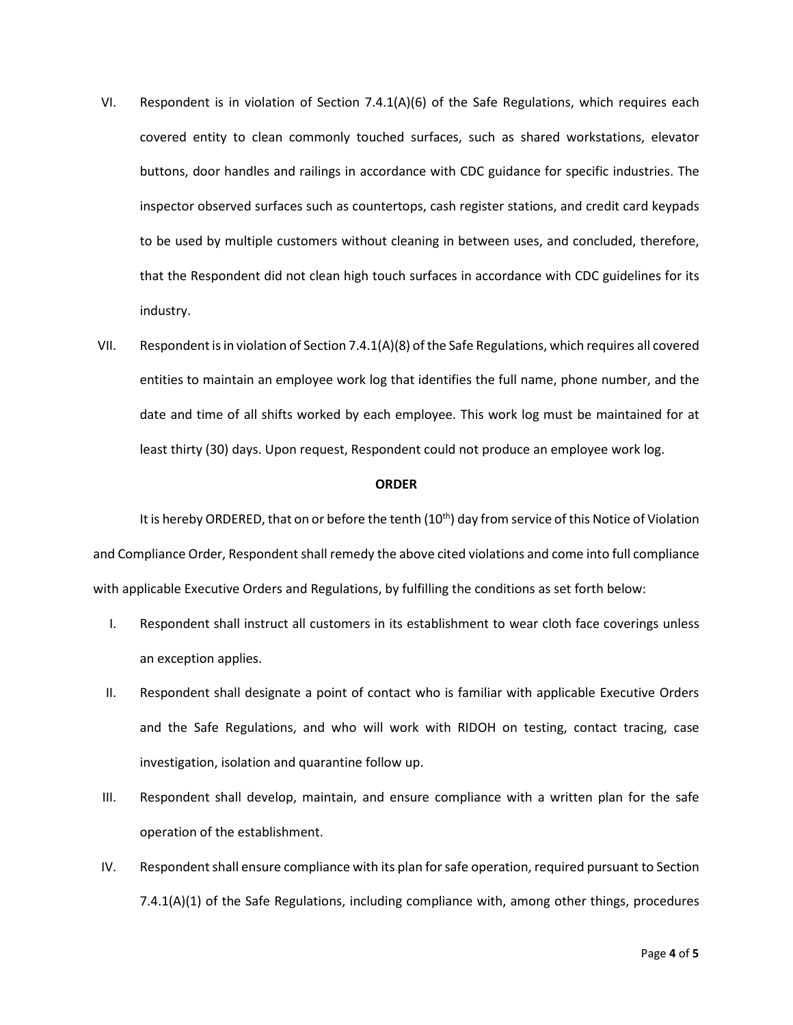- VI. Respondent is in violation of Section  $7.4.1(A)(6)$  of the Safe Regulations, which requires each covered entity to clean commonly touched surfaces, such as shared workstations, elevator buttons, door handles and railings in accordance with CDC guidance for specific industries. The inspector observed surfaces such as countertops, cash register stations, and credit card keypads to be used by multiple customers without cleaning in between uses, and concluded, therefore, that the Respondent did not clean high touch surfaces in accordance with CDC guidelines for its industry.
- VII. Respondent is in violation of Section 7.4.1(A)(8) of the Safe Regulations, which requires all covered entities to maintain an employee work log that identifies the full name, phone number, and the date and time of all shifts worked by each employee. This work log must be maintained for at least thirty (30) days. Upon request, Respondent could not produce an employee work log.

#### **ORDER**

It is hereby ORDERED, that on or before the tenth (10<sup>th</sup>) day from service of this Notice of Violation and Compliance Order, Respondent shall remedy the above cited violations and come into full compliance with applicable Executive Orders and Regulations, by fulfilling the conditions as set forth below:

- I. Respondent shall instruct all customers in its establishment to wear cloth face coverings unless an exception applies.
- II. Respondent shall designate a point of contact who is familiar with applicable Executive Orders and the Safe Regulations, and who will work with RIDOH on testing, contact tracing, case investigation, isolation and quarantine follow up.
- III. Respondent shall develop, maintain, and ensure compliance with a written plan for the safe operation of the establishment.
- IV. Respondent shall ensure compliance with its plan for safe operation, required pursuant to Section 7.4.1(A)(1) of the Safe Regulations, including compliance with, among other things, procedures